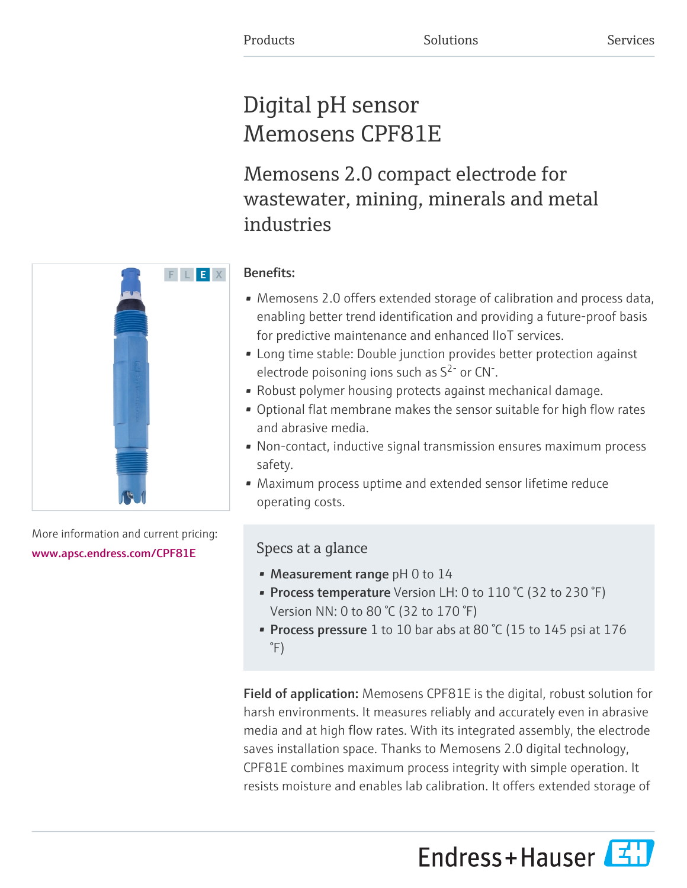# Digital pH sensor Memosens CPF81E

Memosens 2.0 compact electrode for wastewater, mining, minerals and metal industries

# F L E X

More information and current pricing:

[www.apsc.endress.com/CPF81E](https://www.apsc.endress.com/CPF81E)

## Benefits:

- Memosens 2.0 offers extended storage of calibration and process data, enabling better trend identification and providing a future-proof basis for predictive maintenance and enhanced IIoT services.
- Long time stable: Double junction provides better protection against electrode poisoning ions such as  $S^{2}$  or CN<sup>-</sup>.
- Robust polymer housing protects against mechanical damage.
- Optional flat membrane makes the sensor suitable for high flow rates and abrasive media.
- Non-contact, inductive signal transmission ensures maximum process safety.
- Maximum process uptime and extended sensor lifetime reduce operating costs.

# Specs at a glance

- Measurement range  $pH$  0 to 14
- Process temperature Version LH: 0 to 110 °C (32 to 230 °F) Version NN: 0 to 80 °C (32 to 170 °F)
- Process pressure 1 to 10 bar abs at 80 °C (15 to 145 psi at 176 °F)

Field of application: Memosens CPF81E is the digital, robust solution for harsh environments. It measures reliably and accurately even in abrasive media and at high flow rates. With its integrated assembly, the electrode saves installation space. Thanks to Memosens 2.0 digital technology, CPF81E combines maximum process integrity with simple operation. It resists moisture and enables lab calibration. It offers extended storage of

Endress+Hauser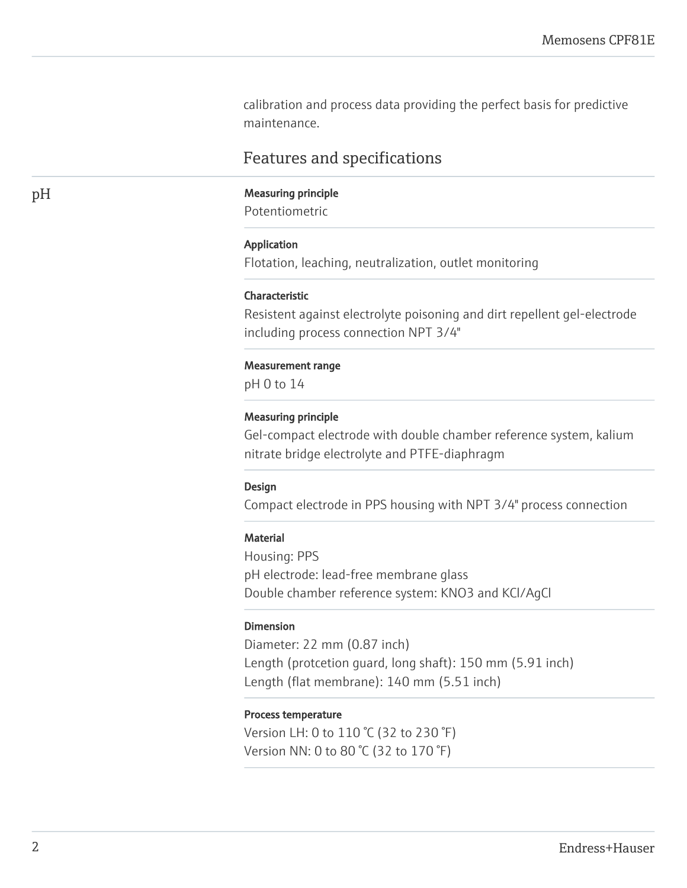calibration and process data providing the perfect basis for predictive maintenance.

# Features and specifications

### pH Measuring principle

Potentiometric

### Application

Flotation, leaching, neutralization, outlet monitoring

### Characteristic

Resistent against electrolyte poisoning and dirt repellent gel-electrode including process connection NPT 3/4"

### Measurement range

pH 0 to 14

### Measuring principle

Gel-compact electrode with double chamber reference system, kalium nitrate bridge electrolyte and PTFE-diaphragm

### Design

Compact electrode in PPS housing with NPT 3/4" process connection

### **Material**

Housing: PPS pH electrode: lead-free membrane glass Double chamber reference system: KNO3 and KCl/AgCl

### Dimension

Diameter: 22 mm (0.87 inch) Length (protcetion guard, long shaft): 150 mm (5.91 inch) Length (flat membrane): 140 mm (5.51 inch)

### Process temperature

Version LH: 0 to 110 °C (32 to 230 °F) Version NN: 0 to 80 °C (32 to 170 °F)